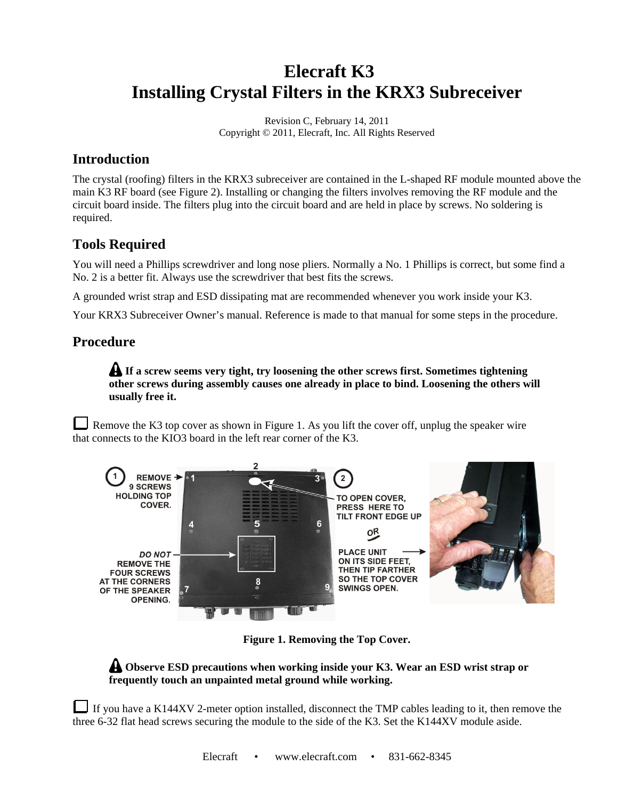# **Elecraft K3 Installing Crystal Filters in the KRX3 Subreceiver**

Revision C, February 14, 2011 Copyright © 2011, Elecraft, Inc. All Rights Reserved

### **Introduction**

The crystal (roofing) filters in the KRX3 subreceiver are contained in the L-shaped RF module mounted above the main K3 RF board (see Figure 2). Installing or changing the filters involves removing the RF module and the circuit board inside. The filters plug into the circuit board and are held in place by screws. No soldering is required.

## **Tools Required**

You will need a Phillips screwdriver and long nose pliers. Normally a No. 1 Phillips is correct, but some find a No. 2 is a better fit. Always use the screwdriver that best fits the screws.

A grounded wrist strap and ESD dissipating mat are recommended whenever you work inside your K3.

Your KRX3 Subreceiver Owner's manual. Reference is made to that manual for some steps in the procedure.

## **Procedure**

**If a screw seems very tight, try loosening the other screws first. Sometimes tightening other screws during assembly causes one already in place to bind. Loosening the others will usually free it.** 

Remove the K3 top cover as shown in Figure 1. As you lift the cover off, unplug the speaker wire that connects to the KIO3 board in the left rear corner of the K3.



**Figure 1. Removing the Top Cover.** 

#### **A** Observe ESD precautions when working inside your K3. Wear an ESD wrist strap or **frequently touch an unpainted metal ground while working.**

If you have a K144XV 2-meter option installed, disconnect the TMP cables leading to it, then remove the three 6-32 flat head screws securing the module to the side of the K3. Set the K144XV module aside.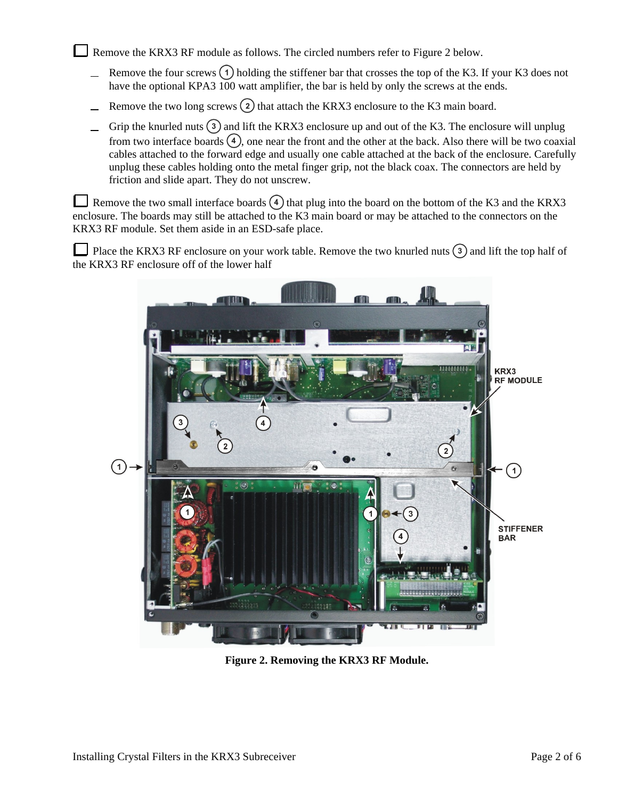Remove the KRX3 RF module as follows. The circled numbers refer to Figure 2 below.

- Remove the four screws  $(1)$  holding the stiffener bar that crosses the top of the K3. If your K3 does not have the optional KPA3 100 watt amplifier, the bar is held by only the screws at the ends.
- Remove the two long screws  $(2)$  that attach the KRX3 enclosure to the K3 main board.
- Grip the knurled nuts  $(3)$  and lift the KRX3 enclosure up and out of the K3. The enclosure will unplug from two interface boards  $\left(4\right)$ , one near the front and the other at the back. Also there will be two coaxial cables attached to the forward edge and usually one cable attached at the back of the enclosure. Carefully unplug these cables holding onto the metal finger grip, not the black coax. The connectors are held by friction and slide apart. They do not unscrew.

Remove the two small interface boards  $\left(4\right)$  that plug into the board on the bottom of the K3 and the KRX3 enclosure. The boards may still be attached to the K3 main board or may be attached to the connectors on the KRX3 RF module. Set them aside in an ESD-safe place.

Place the KRX3 RF enclosure on your work table. Remove the two knurled nuts  $\binom{3}{3}$  and lift the top half of the KRX3 RF enclosure off of the lower half



**Figure 2. Removing the KRX3 RF Module.**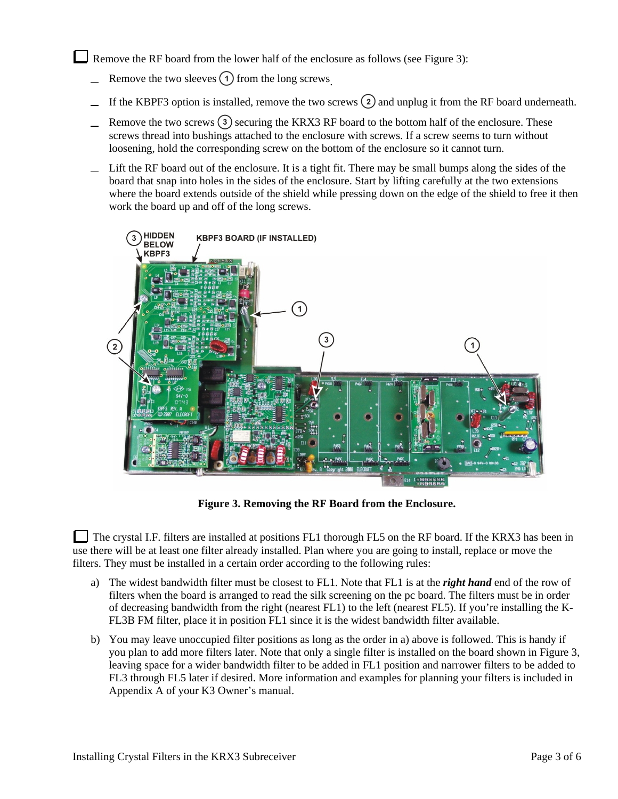Remove the RF board from the lower half of the enclosure as follows (see Figure 3):

- Remove the two sleeves  $\Omega$  from the long screws.
- If the KBPF3 option is installed, remove the two screws  $\Omega$  and unplug it from the RF board underneath.
- Remove the two screws  $(3)$  securing the KRX3 RF board to the bottom half of the enclosure. These  $\overline{\phantom{0}}$ screws thread into bushings attached to the enclosure with screws. If a screw seems to turn without loosening, hold the corresponding screw on the bottom of the enclosure so it cannot turn.
- Lift the RF board out of the enclosure. It is a tight fit. There may be small bumps along the sides of the board that snap into holes in the sides of the enclosure. Start by lifting carefully at the two extensions where the board extends outside of the shield while pressing down on the edge of the shield to free it then work the board up and off of the long screws.



**Figure 3. Removing the RF Board from the Enclosure.** 

The crystal I.F. filters are installed at positions FL1 thorough FL5 on the RF board. If the KRX3 has been in use there will be at least one filter already installed. Plan where you are going to install, replace or move the filters. They must be installed in a certain order according to the following rules:

- a) The widest bandwidth filter must be closest to FL1. Note that FL1 is at the *right hand* end of the row of filters when the board is arranged to read the silk screening on the pc board. The filters must be in order of decreasing bandwidth from the right (nearest FL1) to the left (nearest FL5). If you're installing the K-FL3B FM filter, place it in position FL1 since it is the widest bandwidth filter available.
- b) You may leave unoccupied filter positions as long as the order in a) above is followed. This is handy if you plan to add more filters later. Note that only a single filter is installed on the board shown in Figure 3, leaving space for a wider bandwidth filter to be added in FL1 position and narrower filters to be added to FL3 through FL5 later if desired. More information and examples for planning your filters is included in Appendix A of your K3 Owner's manual.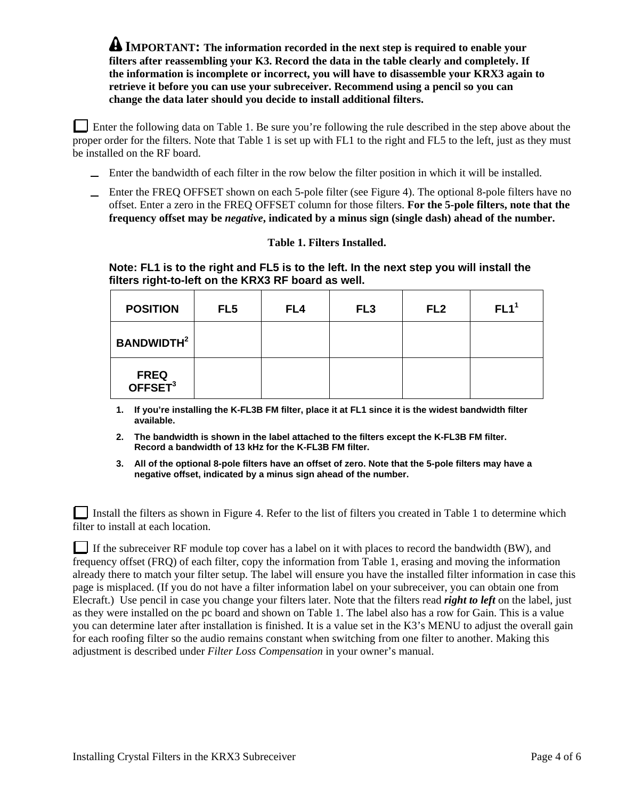**A** IMPORTANT: The information recorded in the next step is required to enable your **filters after reassembling your K3. Record the data in the table clearly and completely. If the information is incomplete or incorrect, you will have to disassemble your KRX3 again to retrieve it before you can use your subreceiver. Recommend using a pencil so you can change the data later should you decide to install additional filters.** 

Enter the following data on Table 1. Be sure you're following the rule described in the step above about the proper order for the filters. Note that Table 1 is set up with FL1 to the right and FL5 to the left, just as they must be installed on the RF board.

- Enter the bandwidth of each filter in the row below the filter position in which it will be installed.
- Enter the FREQ OFFSET shown on each 5-pole filter (see Figure 4). The optional 8-pole filters have no offset. Enter a zero in the FREQ OFFSET column for those filters. **For the 5-pole filters, note that the frequency offset may be** *negative***, indicated by a minus sign (single dash) ahead of the number.**

#### **Table 1. Filters Installed.**

**Note: FL1 is to the right and FL5 is to the left. In the next step you will install the filters right-to-left on the KRX3 RF board as well.** 

| <b>POSITION</b>                    | FL <sub>5</sub> | FL <sub>4</sub> | FL <sub>3</sub> | FL <sub>2</sub> | FL1 <sup>1</sup> |
|------------------------------------|-----------------|-----------------|-----------------|-----------------|------------------|
| <b>BANDWIDTH<sup>2</sup></b>       |                 |                 |                 |                 |                  |
| <b>FREQ</b><br>OFFSET <sup>3</sup> |                 |                 |                 |                 |                  |

**1. If you're installing the K-FL3B FM filter, place it at FL1 since it is the widest bandwidth filter available.** 

- **2. The bandwidth is shown in the label attached to the filters except the K-FL3B FM filter. Record a bandwidth of 13 kHz for the K-FL3B FM filter.**
- **3. All of the optional 8-pole filters have an offset of zero. Note that the 5-pole filters may have a negative offset, indicated by a minus sign ahead of the number.**

Install the filters as shown in Figure 4. Refer to the list of filters you created in Table 1 to determine which filter to install at each location.

If the subreceiver RF module top cover has a label on it with places to record the bandwidth (BW), and frequency offset (FRQ) of each filter, copy the information from Table 1, erasing and moving the information already there to match your filter setup. The label will ensure you have the installed filter information in case this page is misplaced. (If you do not have a filter information label on your subreceiver, you can obtain one from Elecraft.) Use pencil in case you change your filters later. Note that the filters read *right to left* on the label, just as they were installed on the pc board and shown on Table 1. The label also has a row for Gain. This is a value you can determine later after installation is finished. It is a value set in the K3's MENU to adjust the overall gain for each roofing filter so the audio remains constant when switching from one filter to another. Making this adjustment is described under *Filter Loss Compensation* in your owner's manual.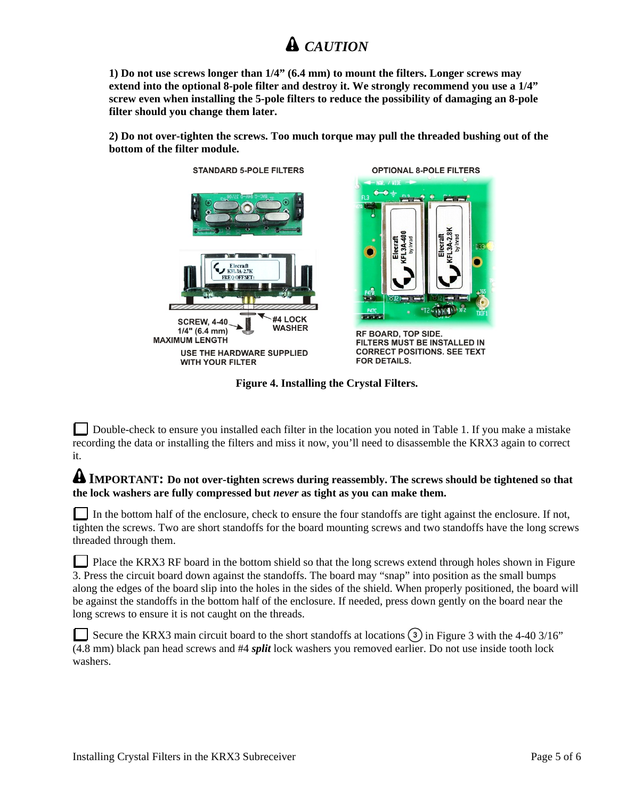## *CAUTION*

**1) Do not use screws longer than 1/4" (6.4 mm) to mount the filters. Longer screws may extend into the optional 8-pole filter and destroy it. We strongly recommend you use a 1/4" screw even when installing the 5-pole filters to reduce the possibility of damaging an 8-pole filter should you change them later.** 

**2) Do not over-tighten the screws. Too much torque may pull the threaded bushing out of the bottom of the filter module.** 





**OPTIONAL 8-POLE FILTERS** 

RF BOARD, TOP SIDE. FILTERS MUST BE INSTALLED IN **CORRECT POSITIONS. SEE TEXT FOR DETAILS.** 

**Figure 4. Installing the Crystal Filters.** 

Double-check to ensure you installed each filter in the location you noted in Table 1. If you make a mistake recording the data or installing the filters and miss it now, you'll need to disassemble the KRX3 again to correct it.

#### **A IMPORTANT:** Do not over-tighten screws during reassembly. The screws should be tightened so that **the lock washers are fully compressed but** *never* **as tight as you can make them.**

In the bottom half of the enclosure, check to ensure the four standoffs are tight against the enclosure. If not, tighten the screws. Two are short standoffs for the board mounting screws and two standoffs have the long screws threaded through them.

Place the KRX3 RF board in the bottom shield so that the long screws extend through holes shown in Figure 3. Press the circuit board down against the standoffs. The board may "snap" into position as the small bumps along the edges of the board slip into the holes in the sides of the shield. When properly positioned, the board will be against the standoffs in the bottom half of the enclosure. If needed, press down gently on the board near the long screws to ensure it is not caught on the threads.

Secure the KRX3 main circuit board to the short standoffs at locations  $\binom{3}{3}$  in Figure 3 with the 4-40 3/16" (4.8 mm) black pan head screws and #4 *split* lock washers you removed earlier. Do not use inside tooth lock washers.